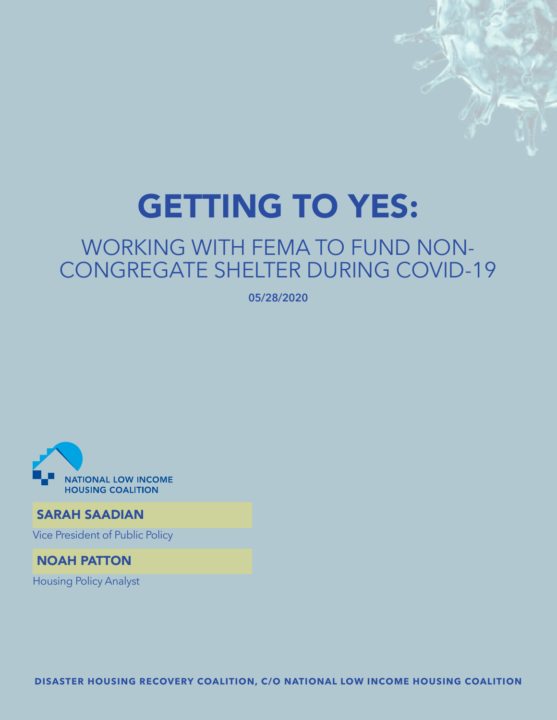# GETTING TO YES:

# WORKING WITH FEMA TO FUND NON-CONGREGATE SHELTER DURING COVID-19

**05/28/2020**



# SARAH SAADIAN

Vice President of Public Policy

# NOAH PATTON

Housing Policy Analyst

**DISASTER HOUSING RECOVERY COALITION, C/O NATIONAL LOW INCOME HOUSING COALITION**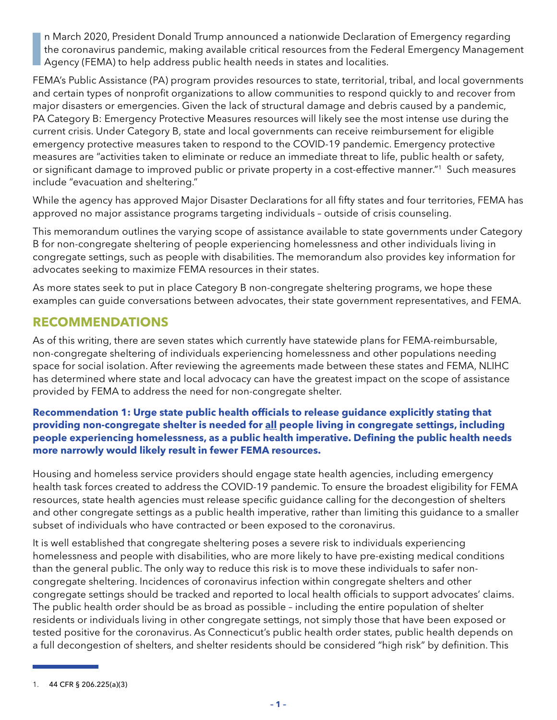**I** n March 2020, President Donald Trump announced a nationwide Declaration of Emergency regarding the coronavirus pandemic, making available critical resources from the Federal Emergency Management Agency (FEMA) to help address public health needs in states and localities.

FEMA's Public Assistance (PA) program provides resources to state, territorial, tribal, and local governments and certain types of nonprofit organizations to allow communities to respond quickly to and recover from major disasters or emergencies. Given the lack of structural damage and debris caused by a pandemic, PA Category B: Emergency Protective Measures resources will likely see the most intense use during the current crisis. Under Category B, state and local governments can receive reimbursement for eligible emergency protective measures taken to respond to the COVID-19 pandemic. Emergency protective measures are "activities taken to eliminate or reduce an immediate threat to life, public health or safety, or significant damage to improved public or private property in a cost-effective manner."1 Such measures include "evacuation and sheltering."

While the agency has approved Major Disaster Declarations for all fifty states and four territories, FEMA has approved no major assistance programs targeting individuals – outside of crisis counseling.

This memorandum outlines the varying scope of assistance available to state governments under Category B for non-congregate sheltering of people experiencing homelessness and other individuals living in congregate settings, such as people with disabilities. The memorandum also provides key information for advocates seeking to maximize FEMA resources in their states.

As more states seek to put in place Category B non-congregate sheltering programs, we hope these examples can guide conversations between advocates, their state government representatives, and FEMA.

# **RECOMMENDATIONS**

As of this writing, there are seven states which currently have statewide plans for FEMA-reimbursable, non-congregate sheltering of individuals experiencing homelessness and other populations needing space for social isolation. After reviewing the agreements made between these states and FEMA, NLIHC has determined where state and local advocacy can have the greatest impact on the scope of assistance provided by FEMA to address the need for non-congregate shelter.

#### **Recommendation 1: Urge state public health officials to release guidance explicitly stating that providing non-congregate shelter is needed for all people living in congregate settings, including people experiencing homelessness, as a public health imperative. Defining the public health needs more narrowly would likely result in fewer FEMA resources.**

Housing and homeless service providers should engage state health agencies, including emergency health task forces created to address the COVID-19 pandemic. To ensure the broadest eligibility for FEMA resources, state health agencies must release specific guidance calling for the decongestion of shelters and other congregate settings as a public health imperative, rather than limiting this guidance to a smaller subset of individuals who have contracted or been exposed to the coronavirus.

It is well established that congregate sheltering poses a severe risk to individuals experiencing homelessness and people with disabilities, who are more likely to have pre-existing medical conditions than the general public. The only way to reduce this risk is to move these individuals to safer noncongregate sheltering. Incidences of coronavirus infection within congregate shelters and other congregate settings should be tracked and reported to local health officials to support advocates' claims. The public health order should be as broad as possible – including the entire population of shelter residents or individuals living in other congregate settings, not simply those that have been exposed or tested positive for the coronavirus. As Connecticut's public health order states, public health depends on a full decongestion of shelters, and shelter residents should be considered "high risk" by definition. This

<sup>1.</sup> 44 CFR § 206.225(a)(3)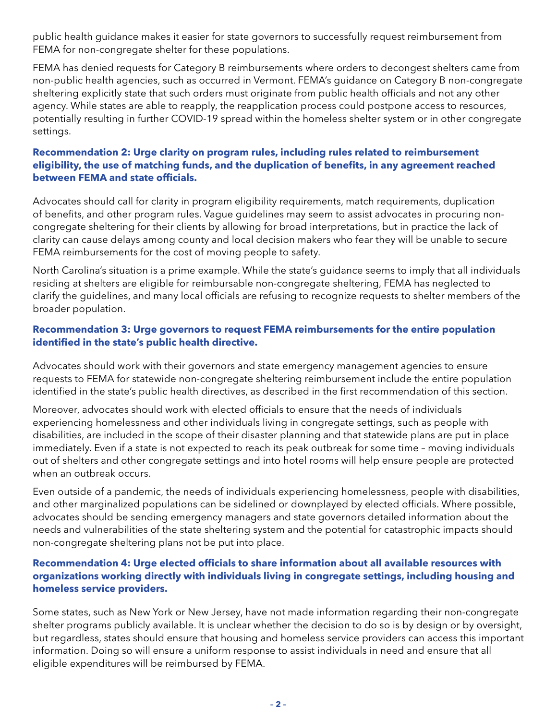public health guidance makes it easier for state governors to successfully request reimbursement from FEMA for non-congregate shelter for these populations.

FEMA has denied requests for Category B reimbursements where orders to decongest shelters came from non-public health agencies, such as occurred in Vermont. FEMA's guidance on Category B non-congregate sheltering explicitly state that such orders must originate from public health officials and not any other agency. While states are able to reapply, the reapplication process could postpone access to resources, potentially resulting in further COVID-19 spread within the homeless shelter system or in other congregate settings.

#### **Recommendation 2: Urge clarity on program rules, including rules related to reimbursement eligibility, the use of matching funds, and the duplication of benefits, in any agreement reached between FEMA and state officials.**

Advocates should call for clarity in program eligibility requirements, match requirements, duplication of benefits, and other program rules. Vague guidelines may seem to assist advocates in procuring noncongregate sheltering for their clients by allowing for broad interpretations, but in practice the lack of clarity can cause delays among county and local decision makers who fear they will be unable to secure FEMA reimbursements for the cost of moving people to safety.

North Carolina's situation is a prime example. While the state's guidance seems to imply that all individuals residing at shelters are eligible for reimbursable non-congregate sheltering, FEMA has neglected to clarify the guidelines, and many local officials are refusing to recognize requests to shelter members of the broader population.

#### **Recommendation 3: Urge governors to request FEMA reimbursements for the entire population identified in the state's public health directive.**

Advocates should work with their governors and state emergency management agencies to ensure requests to FEMA for statewide non-congregate sheltering reimbursement include the entire population identified in the state's public health directives, as described in the first recommendation of this section.

Moreover, advocates should work with elected officials to ensure that the needs of individuals experiencing homelessness and other individuals living in congregate settings, such as people with disabilities, are included in the scope of their disaster planning and that statewide plans are put in place immediately. Even if a state is not expected to reach its peak outbreak for some time – moving individuals out of shelters and other congregate settings and into hotel rooms will help ensure people are protected when an outbreak occurs.

Even outside of a pandemic, the needs of individuals experiencing homelessness, people with disabilities, and other marginalized populations can be sidelined or downplayed by elected officials. Where possible, advocates should be sending emergency managers and state governors detailed information about the needs and vulnerabilities of the state sheltering system and the potential for catastrophic impacts should non-congregate sheltering plans not be put into place.

#### **Recommendation 4: Urge elected officials to share information about all available resources with organizations working directly with individuals living in congregate settings, including housing and homeless service providers.**

Some states, such as New York or New Jersey, have not made information regarding their non-congregate shelter programs publicly available. It is unclear whether the decision to do so is by design or by oversight, but regardless, states should ensure that housing and homeless service providers can access this important information. Doing so will ensure a uniform response to assist individuals in need and ensure that all eligible expenditures will be reimbursed by FEMA.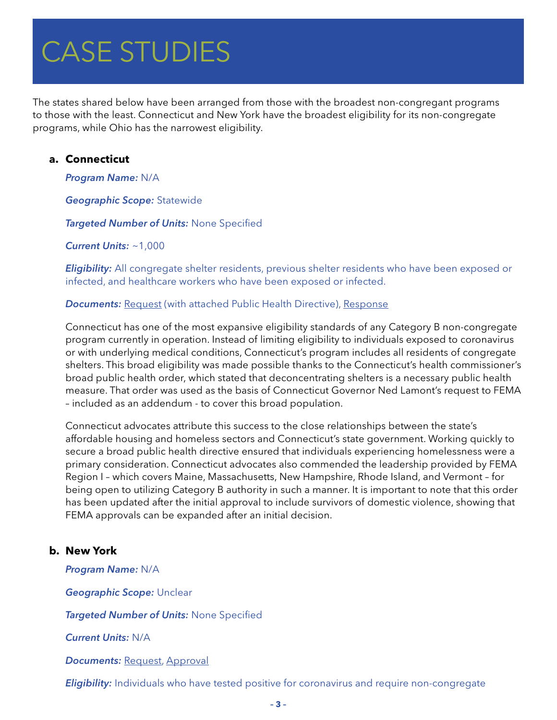# $C$ ACE CTI INIEC CAJE JI UDILJ CASE STUDIES

The states shared below have been arranged from those with the broadest non-congregant programs to those with the least. Connecticut and New York have the broadest eligibility for its non-congregate programs, while Ohio has the narrowest eligibility.

#### **a. Connecticut**

*Program Name:* N/A

*Geographic Scope:* Statewide

*Targeted Number of Units:* None Specified

*Current Units:* ~1,000

*Eligibility:* All congregate shelter residents, previous shelter residents who have been exposed or infected, and healthcare workers who have been exposed or infected.

#### **Documents:** [Request](https://nlihc.org/sites/default/files/FEMA-Request-for-Non-Congregate-Shelter-Costs_Mar282020.pdf) (with attached Public Health Directive), [Response](https://nlihc.org/sites/default/files/FEMA-Request-for-Non-Congregate-Shelter-Costs_Mar282020.pdf)

Connecticut has one of the most expansive eligibility standards of any Category B non-congregate program currently in operation. Instead of limiting eligibility to individuals exposed to coronavirus or with underlying medical conditions, Connecticut's program includes all residents of congregate shelters. This broad eligibility was made possible thanks to the Connecticut's health commissioner's broad public health order, which stated that deconcentrating shelters is a necessary public health measure. That order was used as the basis of Connecticut Governor Ned Lamont's request to FEMA – included as an addendum - to cover this broad population.

Connecticut advocates attribute this success to the close relationships between the state's affordable housing and homeless sectors and Connecticut's state government. Working quickly to secure a broad public health directive ensured that individuals experiencing homelessness were a primary consideration. Connecticut advocates also commended the leadership provided by FEMA Region I – which covers Maine, Massachusetts, New Hampshire, Rhode Island, and Vermont – for being open to utilizing Category B authority in such a manner. It is important to note that this order has been updated after the initial approval to include survivors of domestic violence, showing that FEMA approvals can be expanded after an initial decision.

#### **b. New York**

*Program Name:* N/A

*Geographic Scope:* Unclear

*Targeted Number of Units:* None Specified

*Current Units:* N/A

*Documents: [Request,](http://www.dhses.ny.gov/recovery/public/documents/DR4480-NY-Noncongregate-Sheltering-Order.pdf) [Approval](http://www.dhses.ny.gov/recovery/public/documents/DR4480-NYS-Non-Congregate-Sheltering-Approval.pdf)* 

*Eligibility:* Individuals who have tested positive for coronavirus and require non-congregate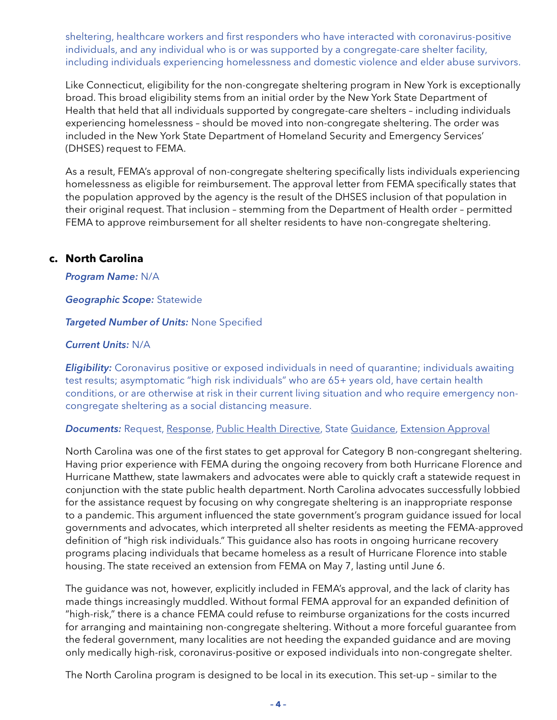sheltering, healthcare workers and first responders who have interacted with coronavirus-positive individuals, and any individual who is or was supported by a congregate-care shelter facility, including individuals experiencing homelessness and domestic violence and elder abuse survivors.

Like Connecticut, eligibility for the non-congregate sheltering program in New York is exceptionally broad. This broad eligibility stems from an initial order by the New York State Department of Health that held that all individuals supported by congregate-care shelters – including individuals experiencing homelessness – should be moved into non-congregate sheltering. The order was included in the New York State Department of Homeland Security and Emergency Services' (DHSES) request to FEMA.

As a result, FEMA's approval of non-congregate sheltering specifically lists individuals experiencing homelessness as eligible for reimbursement. The approval letter from FEMA specifically states that the population approved by the agency is the result of the DHSES inclusion of that population in their original request. That inclusion – stemming from the Department of Health order – permitted FEMA to approve reimbursement for all shelter residents to have non-congregate sheltering.

#### **c. North Carolina**

*Program Name:* N/A

*Geographic Scope:* Statewide

*Targeted Number of Units:* None Specified

#### *Current Units:* N/A

**Eligibility:** Coronavirus positive or exposed individuals in need of quarantine; individuals awaiting test results; asymptomatic "high risk individuals" who are 65+ years old, have certain health conditions, or are otherwise at risk in their current living situation and who require emergency noncongregate sheltering as a social distancing measure.

#### **Documents:** Request, [Response](https://files.nc.gov/ncdhhs/documents/files/covid-19/NCEM-Statewide-Non-Con-Shel-Response-Final.pdf), [Public Health Directive](https://files.nc.gov/ncdhhs/documents/files/covid-19/State-Health-Director-COVID-19-Non-Congregate-Sheltering-Letter.pdf), State [Guidance, Extension Approval](https://files.nc.gov/ncdhhs/documents/files/covid-19/North-Carolina-NCS-First-Extension-Response.pdfhttps:/files.nc.gov/ncdhhs/documents/files/covid-19/North-Carolina-NCS-First-Extension-Response.pdf)

North Carolina was one of the first states to get approval for Category B non-congregant sheltering. Having prior experience with FEMA during the ongoing recovery from both Hurricane Florence and Hurricane Matthew, state lawmakers and advocates were able to quickly craft a statewide request in conjunction with the state public health department. North Carolina advocates successfully lobbied for the assistance request by focusing on why congregate sheltering is an inappropriate response to a pandemic. This argument influenced the state government's program guidance issued for local governments and advocates, which interpreted all shelter residents as meeting the FEMA-approved definition of "high risk individuals." This guidance also has roots in ongoing hurricane recovery programs placing individuals that became homeless as a result of Hurricane Florence into stable housing. The state received an extension from FEMA on May 7, lasting until June 6.

The guidance was not, however, explicitly included in FEMA's approval, and the lack of clarity has made things increasingly muddled. Without formal FEMA approval for an expanded definition of "high-risk," there is a chance FEMA could refuse to reimburse organizations for the costs incurred for arranging and maintaining non-congregate sheltering. Without a more forceful guarantee from the federal government, many localities are not heeding the expanded guidance and are moving only medically high-risk, coronavirus-positive or exposed individuals into non-congregate shelter.

The North Carolina program is designed to be local in its execution. This set-up – similar to the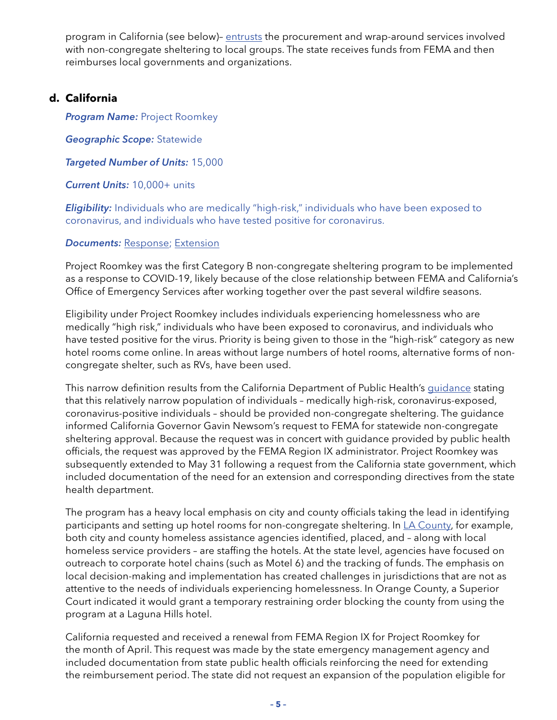program in California (see below)- [entrusts](https://www.ncdps.gov/our-organization/emergency-management/disaster-recovery/covid-19-public-assistance) the procurement and wrap-around services involved with non-congregate sheltering to local groups. The state receives funds from FEMA and then reimburses local governments and organizations.

#### **d. California**

*Program Name: Project Roomkey* 

*Geographic Scope:* Statewide

*Targeted Number of Units:* 15,000

*Current Units:* 10,000+ units

**Eligibility:** Individuals who are medically "high-risk," individuals who have been exposed to coronavirus, and individuals who have tested positive for coronavirus.

*Documents: [Response;](https://www.cdss.ca.gov/Portals/9/FEMA/DR-4482-CA-Non-Congregate-Sheltering-Request-Response-Letter-03272020.pdf) [Extension](https://www.cdss.ca.gov/Portals/9/FEMA/202005-DR-4882-CA-Non-Congregate-Sheltering-Extension-Request-Approval_04292020.pdf)* 

Project Roomkey was the first Category B non-congregate sheltering program to be implemented as a response to COVID-19, likely because of the close relationship between FEMA and California's Office of Emergency Services after working together over the past several wildfire seasons.

Eligibility under Project Roomkey includes individuals experiencing homelessness who are medically "high risk," individuals who have been exposed to coronavirus, and individuals who have tested positive for the virus. Priority is being given to those in the "high-risk" category as new hotel rooms come online. In areas without large numbers of hotel rooms, alternative forms of noncongregate shelter, such as RVs, have been used.

This narrow definition results from the California Department of Public Health's [guidance](https://www.cdph.ca.gov/Programs/CID/DCDC/CDPH Document Library/COVID-19/Protocols-Homeless-Pop.pdf) stating that this relatively narrow population of individuals – medically high-risk, coronavirus-exposed, coronavirus-positive individuals – should be provided non-congregate sheltering. The guidance informed California Governor Gavin Newsom's request to FEMA for statewide non-congregate sheltering approval. Because the request was in concert with guidance provided by public health officials, the request was approved by the FEMA Region IX administrator. Project Roomkey was subsequently extended to May 31 following a request from the California state government, which included documentation of the need for an extension and corresponding directives from the state health department.

The program has a heavy local emphasis on city and county officials taking the lead in identifying participants and setting up hotel rooms for non-congregate sheltering. In [LA County,](https://www.lahsa.org/documents?id=4372-project-roomkey-frequently-asked-questions.pdf) for example, both city and county homeless assistance agencies identified, placed, and – along with local homeless service providers – are staffing the hotels. At the state level, agencies have focused on outreach to corporate hotel chains (such as Motel 6) and the tracking of funds. The emphasis on local decision-making and implementation has created challenges in jurisdictions that are not as attentive to the needs of individuals experiencing homelessness. In Orange County, a Superior Court indicated it would grant a temporary restraining order blocking the county from using the program at a Laguna Hills hotel.

California requested and received a renewal from FEMA Region IX for Project Roomkey for the month of April. This request was made by the state emergency management agency and included documentation from state public health officials reinforcing the need for extending the reimbursement period. The state did not request an expansion of the population eligible for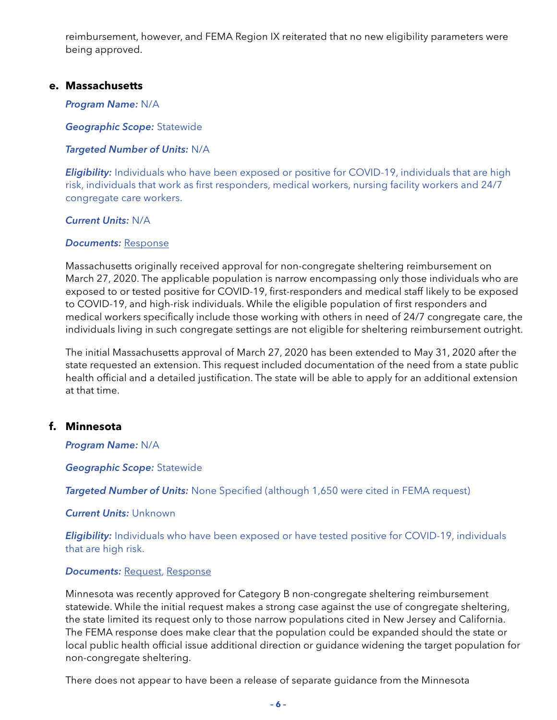reimbursement, however, and FEMA Region IX reiterated that no new eligibility parameters were being approved.

#### **e. Massachusetts**

#### *Program Name:* N/A

*Geographic Scope:* Statewide

#### *Targeted Number of Units:* N/A

*Eligibility:* Individuals who have been exposed or positive for COVID-19, individuals that are high risk, individuals that work as first responders, medical workers, nursing facility workers and 24/7 congregate care workers.

#### *Current Units:* N/A

#### *Documents:* [Response](https://nlihc.org/sites/default/files/FEMA_Amend_Non-Congregate-Sheltering-Approval-FEMA-4496-DR-MA.pdf)

Massachusetts originally received approval for non-congregate sheltering reimbursement on March 27, 2020. The applicable population is narrow encompassing only those individuals who are exposed to or tested positive for COVID-19, first-responders and medical staff likely to be exposed to COVID-19, and high-risk individuals. While the eligible population of first responders and medical workers specifically include those working with others in need of 24/7 congregate care, the individuals living in such congregate settings are not eligible for sheltering reimbursement outright.

The initial Massachusetts approval of March 27, 2020 has been extended to May 31, 2020 after the state requested an extension. This request included documentation of the need from a state public health official and a detailed justification. The state will be able to apply for an additional extension at that time.

#### **f. Minnesota**

*Program Name:* N/A

*Geographic Scope:* Statewide

**Targeted Number of Units:** None Specified (although 1,650 were cited in FEMA request)

#### *Current Units:* Unknown

*Eligibility:* Individuals who have been exposed or have tested positive for COVID-19, individuals that are high risk.

#### *Documents: [Request,](https://headinghomealliance.com/wp-content/uploads/2020/04/DR-4531-MN-Non-Congregate-Shelter-Request-to-FEMA.pdf) [Response](https://headinghomealliance.com/wp-content/uploads/2020/04/Final-Minnesota-Non-Con-Shel-FEMA-Response-04112020.pdf)*

Minnesota was recently approved for Category B non-congregate sheltering reimbursement statewide. While the initial request makes a strong case against the use of congregate sheltering, the state limited its request only to those narrow populations cited in New Jersey and California. The FEMA response does make clear that the population could be expanded should the state or local public health official issue additional direction or guidance widening the target population for non-congregate sheltering.

There does not appear to have been a release of separate guidance from the Minnesota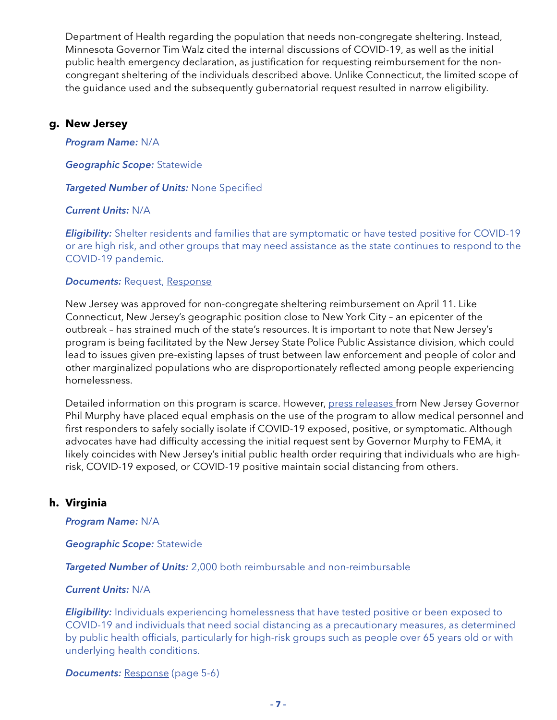Department of Health regarding the population that needs non-congregate sheltering. Instead, Minnesota Governor Tim Walz cited the internal discussions of COVID-19, as well as the initial public health emergency declaration, as justification for requesting reimbursement for the noncongregant sheltering of the individuals described above. Unlike Connecticut, the limited scope of the guidance used and the subsequently gubernatorial request resulted in narrow eligibility.

#### **g. New Jersey**

*Program Name:* N/A

*Geographic Scope:* Statewide

*Targeted Number of Units:* None Specified

#### *Current Units:* N/A

*Eligibility:* Shelter residents and families that are symptomatic or have tested positive for COVID-19 or are high risk, and other groups that may need assistance as the state continues to respond to the COVID-19 pandemic.

#### *Documents: Request, [Response](http://d31hzlhk6di2h5.cloudfront.net/20200411/a3/d5/66/ce/193b01b79e0193404aa5d788/DR-4488_NJ_Non-Congregate_Sheltering_Response.pdf)*

New Jersey was approved for non-congregate sheltering reimbursement on April 11. Like Connecticut, New Jersey's geographic position close to New York City – an epicenter of the outbreak – has strained much of the state's resources. It is important to note that New Jersey's program is being facilitated by the New Jersey State Police Public Assistance division, which could lead to issues given pre-existing lapses of trust between law enforcement and people of color and other marginalized populations who are disproportionately reflected among people experiencing homelessness.

Detailed information on this program is scarce. However, [press releases](https://www.nj.gov/governor/news/news/562020/20200411a.shtml) from New Jersey Governor Phil Murphy have placed equal emphasis on the use of the program to allow medical personnel and first responders to safely socially isolate if COVID-19 exposed, positive, or symptomatic. Although advocates have had difficulty accessing the initial request sent by Governor Murphy to FEMA, it likely coincides with New Jersey's initial public health order requiring that individuals who are highrisk, COVID-19 exposed, or COVID-19 positive maintain social distancing from others.

#### **h. Virginia**

*Program Name:* N/A

*Geographic Scope:* Statewide

*Targeted Number of Units:* 2,000 both reimbursable and non-reimbursable

#### *Current Units:* N/A

**Eligibility:** Individuals experiencing homelessness that have tested positive or been exposed to COVID-19 and individuals that need social distancing as a precautionary measures, as determined by public health officials, particularly for high-risk groups such as people over 65 years old or with underlying health conditions.

*Documents: [Response](https://www.vaemergency.gov/wp-content/uploads/2020/04/COVID-19-FAQ-Guide-Final-4.7.2020.pdf) (page 5-6)*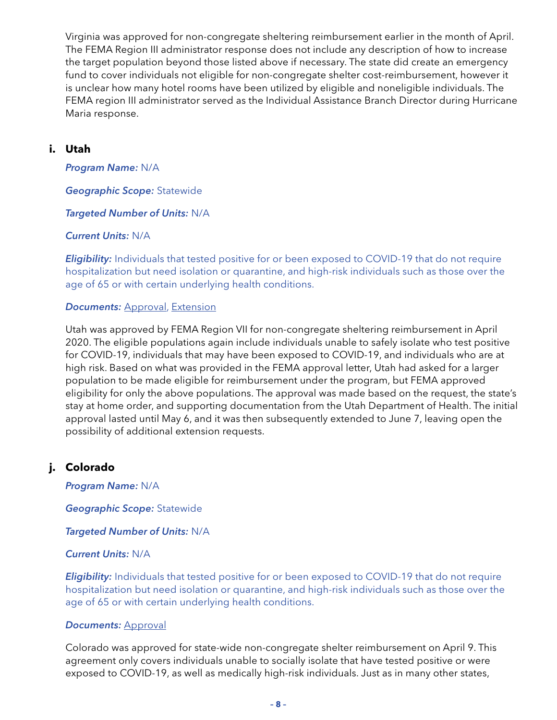Virginia was approved for non-congregate sheltering reimbursement earlier in the month of April. The FEMA Region III administrator response does not include any description of how to increase the target population beyond those listed above if necessary. The state did create an emergency fund to cover individuals not eligible for non-congregate shelter cost-reimbursement, however it is unclear how many hotel rooms have been utilized by eligible and noneligible individuals. The FEMA region III administrator served as the Individual Assistance Branch Director during Hurricane Maria response.

#### **i. Utah**

*Program Name:* N/A

*Geographic Scope:* Statewide

*Targeted Number of Units:* N/A

#### *Current Units:* N/A

*Eligibility:* Individuals that tested positive for or been exposed to COVID-19 that do not require hospitalization but need isolation or quarantine, and high-risk individuals such as those over the age of 65 or with certain underlying health conditions.

#### *Documents:* [Approval](https://dem.utah.gov/wp-content/uploads/sites/18/2020/04/FEMA-Letter-Approving-Utah_s-Request-for-Non-Congregate-Sheltering.pdf), [Extension](https://dem.utah.gov/wp-content/uploads/sites/18/2020/05/2020_05_08_Utah-NCS_4525-DR-UT_Time-Extension-May-8-June-7-2020_FINAL_SIGNED-1.pdf)

Utah was approved by FEMA Region VII for non-congregate sheltering reimbursement in April 2020. The eligible populations again include individuals unable to safely isolate who test positive for COVID-19, individuals that may have been exposed to COVID-19, and individuals who are at high risk. Based on what was provided in the FEMA approval letter, Utah had asked for a larger population to be made eligible for reimbursement under the program, but FEMA approved eligibility for only the above populations. The approval was made based on the request, the state's stay at home order, and supporting documentation from the Utah Department of Health. The initial approval lasted until May 6, and it was then subsequently extended to June 7, leaving open the possibility of additional extension requests.

#### **j. Colorado**

*Program Name:* N/A

*Geographic Scope:* Statewide

*Targeted Number of Units:* N/A

#### *Current Units:* N/A

**Eligibility:** Individuals that tested positive for or been exposed to COVID-19 that do not require hospitalization but need isolation or quarantine, and high-risk individuals such as those over the age of 65 or with certain underlying health conditions.

#### *Documents:* [Approval](https://drive.google.com/file/d/1ppInjTRVrLN004DjE5djl-y4xeEAqkeC/view)

Colorado was approved for state-wide non-congregate shelter reimbursement on April 9. This agreement only covers individuals unable to socially isolate that have tested positive or were exposed to COVID-19, as well as medically high-risk individuals. Just as in many other states,